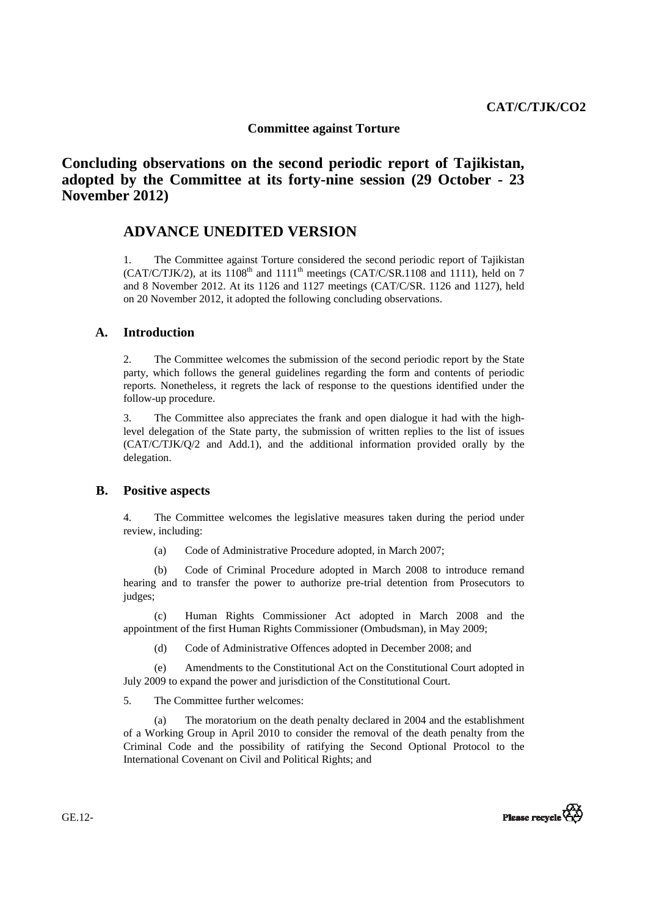# **Committee against Torture**

**Concluding observations on the second periodic report of Tajikistan, adopted by the Committee at its forty-nine session (29 October - 23 November 2012)**

# **ADVANCE UNEDITED VERSION**

1. The Committee against Torture considered the second periodic report of Tajikistan (CAT/C/TJK/2), at its  $1108<sup>th</sup>$  and  $1111<sup>th</sup>$  meetings (CAT/C/SR.1108 and 1111), held on 7 and 8 November 2012. At its 1126 and 1127 meetings (CAT/C/SR. 1126 and 1127), held on 20 November 2012, it adopted the following concluding observations.

# **A. Introduction**

2. The Committee welcomes the submission of the second periodic report by the State party, which follows the general guidelines regarding the form and contents of periodic reports. Nonetheless, it regrets the lack of response to the questions identified under the follow-up procedure.

3. The Committee also appreciates the frank and open dialogue it had with the highlevel delegation of the State party, the submission of written replies to the list of issues (CAT/C/TJK/Q/2 and Add.1), and the additional information provided orally by the delegation.

# **B. Positive aspects**

4. The Committee welcomes the legislative measures taken during the period under review, including:

(a) Code of Administrative Procedure adopted, in March 2007;

(b) Code of Criminal Procedure adopted in March 2008 to introduce remand hearing and to transfer the power to authorize pre-trial detention from Prosecutors to judges;

(c) Human Rights Commissioner Act adopted in March 2008 and the appointment of the first Human Rights Commissioner (Ombudsman), in May 2009;

(d) Code of Administrative Offences adopted in December 2008; and

(e) Amendments to the Constitutional Act on the Constitutional Court adopted in July 2009 to expand the power and jurisdiction of the Constitutional Court.

5. The Committee further welcomes:

 (a) The moratorium on the death penalty declared in 2004 and the establishment of a Working Group in April 2010 to consider the removal of the death penalty from the Criminal Code and the possibility of ratifying the Second Optional Protocol to the International Covenant on Civil and Political Rights; and



GE.12-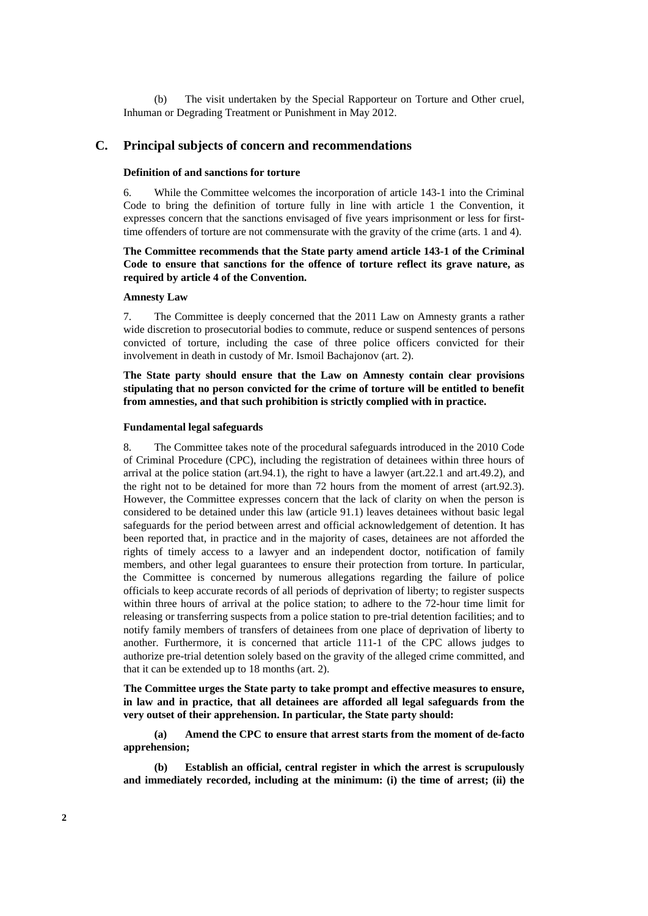(b) The visit undertaken by the Special Rapporteur on Torture and Other cruel, Inhuman or Degrading Treatment or Punishment in May 2012.

# **C. Principal subjects of concern and recommendations**

# **Definition of and sanctions for torture**

6. While the Committee welcomes the incorporation of article 143-1 into the Criminal Code to bring the definition of torture fully in line with article 1 the Convention, it expresses concern that the sanctions envisaged of five years imprisonment or less for firsttime offenders of torture are not commensurate with the gravity of the crime (arts. 1 and 4).

# **The Committee recommends that the State party amend article 143-1 of the Criminal Code to ensure that sanctions for the offence of torture reflect its grave nature, as required by article 4 of the Convention.**

## **Amnesty Law**

7. The Committee is deeply concerned that the 2011 Law on Amnesty grants a rather wide discretion to prosecutorial bodies to commute, reduce or suspend sentences of persons convicted of torture, including the case of three police officers convicted for their involvement in death in custody of Mr. Ismoil Bachajonov (art. 2).

**The State party should ensure that the Law on Amnesty contain clear provisions stipulating that no person convicted for the crime of torture will be entitled to benefit from amnesties, and that such prohibition is strictly complied with in practice.** 

## **Fundamental legal safeguards**

8. The Committee takes note of the procedural safeguards introduced in the 2010 Code of Criminal Procedure (CPC), including the registration of detainees within three hours of arrival at the police station (art.94.1), the right to have a lawyer (art.22.1 and art.49.2), and the right not to be detained for more than 72 hours from the moment of arrest (art.92.3). However, the Committee expresses concern that the lack of clarity on when the person is considered to be detained under this law (article 91.1) leaves detainees without basic legal safeguards for the period between arrest and official acknowledgement of detention. It has been reported that, in practice and in the majority of cases, detainees are not afforded the rights of timely access to a lawyer and an independent doctor, notification of family members, and other legal guarantees to ensure their protection from torture. In particular, the Committee is concerned by numerous allegations regarding the failure of police officials to keep accurate records of all periods of deprivation of liberty; to register suspects within three hours of arrival at the police station; to adhere to the 72-hour time limit for releasing or transferring suspects from a police station to pre-trial detention facilities; and to notify family members of transfers of detainees from one place of deprivation of liberty to another. Furthermore, it is concerned that article 111-1 of the CPC allows judges to authorize pre-trial detention solely based on the gravity of the alleged crime committed, and that it can be extended up to 18 months (art. 2).

**The Committee urges the State party to take prompt and effective measures to ensure, in law and in practice, that all detainees are afforded all legal safeguards from the very outset of their apprehension. In particular, the State party should:**

**(a) Amend the CPC to ensure that arrest starts from the moment of de-facto apprehension;** 

**(b) Establish an official, central register in which the arrest is scrupulously and immediately recorded, including at the minimum: (i) the time of arrest; (ii) the**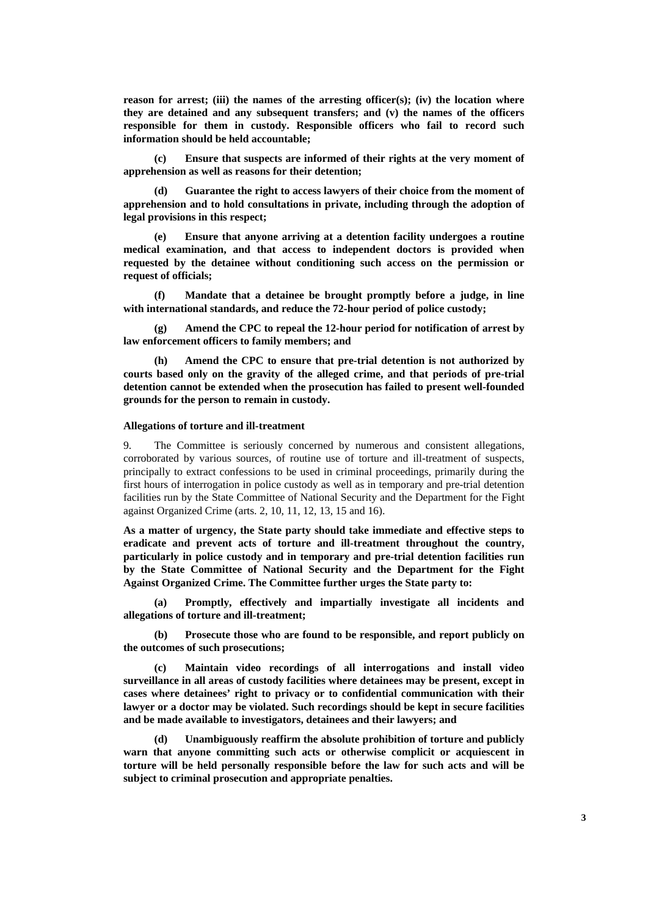**reason for arrest; (iii) the names of the arresting officer(s); (iv) the location where they are detained and any subsequent transfers; and (v) the names of the officers responsible for them in custody. Responsible officers who fail to record such information should be held accountable;** 

**(c) Ensure that suspects are informed of their rights at the very moment of apprehension as well as reasons for their detention;** 

**(d) Guarantee the right to access lawyers of their choice from the moment of apprehension and to hold consultations in private, including through the adoption of legal provisions in this respect;** 

**(e) Ensure that anyone arriving at a detention facility undergoes a routine medical examination, and that access to independent doctors is provided when requested by the detainee without conditioning such access on the permission or request of officials;** 

**(f) Mandate that a detainee be brought promptly before a judge, in line with international standards, and reduce the 72-hour period of police custody;** 

**(g) Amend the CPC to repeal the 12-hour period for notification of arrest by law enforcement officers to family members; and** 

**(h) Amend the CPC to ensure that pre-trial detention is not authorized by courts based only on the gravity of the alleged crime, and that periods of pre-trial detention cannot be extended when the prosecution has failed to present well-founded grounds for the person to remain in custody.** 

## **Allegations of torture and ill-treatment**

9. The Committee is seriously concerned by numerous and consistent allegations, corroborated by various sources, of routine use of torture and ill-treatment of suspects, principally to extract confessions to be used in criminal proceedings, primarily during the first hours of interrogation in police custody as well as in temporary and pre-trial detention facilities run by the State Committee of National Security and the Department for the Fight against Organized Crime (arts. 2, 10, 11, 12, 13, 15 and 16).

**As a matter of urgency, the State party should take immediate and effective steps to eradicate and prevent acts of torture and ill-treatment throughout the country, particularly in police custody and in temporary and pre-trial detention facilities run by the State Committee of National Security and the Department for the Fight Against Organized Crime. The Committee further urges the State party to:** 

**(a) Promptly, effectively and impartially investigate all incidents and allegations of torture and ill-treatment;** 

**(b) Prosecute those who are found to be responsible, and report publicly on the outcomes of such prosecutions;** 

**(c) Maintain video recordings of all interrogations and install video surveillance in all areas of custody facilities where detainees may be present, except in cases where detainees' right to privacy or to confidential communication with their lawyer or a doctor may be violated. Such recordings should be kept in secure facilities and be made available to investigators, detainees and their lawyers; and** 

**(d) Unambiguously reaffirm the absolute prohibition of torture and publicly warn that anyone committing such acts or otherwise complicit or acquiescent in torture will be held personally responsible before the law for such acts and will be subject to criminal prosecution and appropriate penalties.**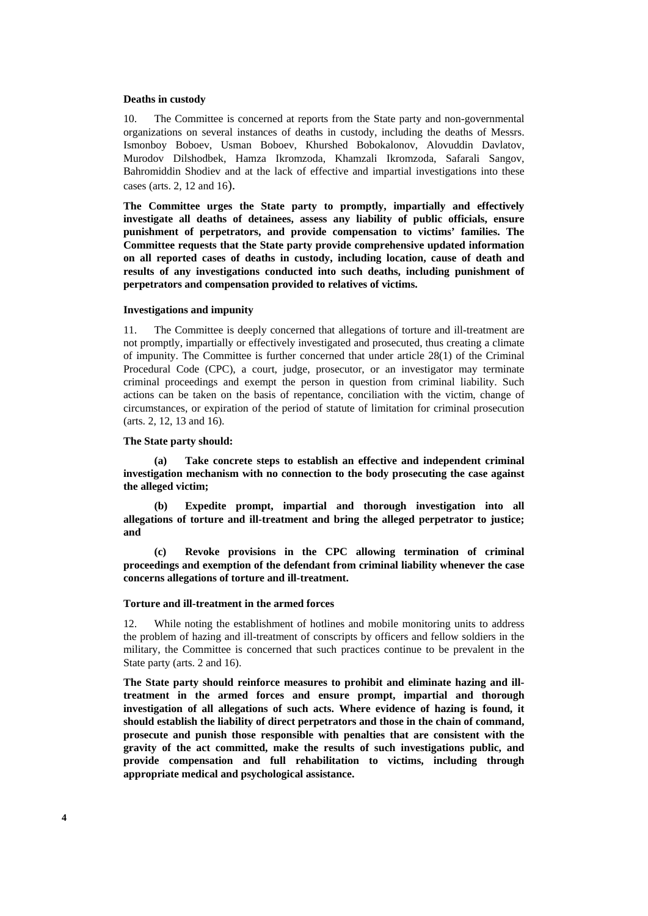## **Deaths in custody**

10. The Committee is concerned at reports from the State party and non-governmental organizations on several instances of deaths in custody, including the deaths of Messrs. Ismonboy Boboev, Usman Boboev, Khurshed Bobokalonov, Alovuddin Davlatov, Murodov Dilshodbek, Hamza Ikromzoda, Khamzali Ikromzoda, Safarali Sangov, Bahromiddin Shodiev and at the lack of effective and impartial investigations into these cases (arts. 2, 12 and 16).

**The Committee urges the State party to promptly, impartially and effectively investigate all deaths of detainees, assess any liability of public officials, ensure punishment of perpetrators, and provide compensation to victims' families. The Committee requests that the State party provide comprehensive updated information on all reported cases of deaths in custody, including location, cause of death and results of any investigations conducted into such deaths, including punishment of perpetrators and compensation provided to relatives of victims.** 

#### **Investigations and impunity**

11. The Committee is deeply concerned that allegations of torture and ill-treatment are not promptly, impartially or effectively investigated and prosecuted, thus creating a climate of impunity. The Committee is further concerned that under article 28(1) of the Criminal Procedural Code (CPC), a court, judge, prosecutor, or an investigator may terminate criminal proceedings and exempt the person in question from criminal liability. Such actions can be taken on the basis of repentance, conciliation with the victim, change of circumstances, or expiration of the period of statute of limitation for criminal prosecution (arts. 2, 12, 13 and 16).

## **The State party should:**

 **(a) Take concrete steps to establish an effective and independent criminal investigation mechanism with no connection to the body prosecuting the case against the alleged victim;** 

 **(b) Expedite prompt, impartial and thorough investigation into all allegations of torture and ill-treatment and bring the alleged perpetrator to justice; and** 

 **(c) Revoke provisions in the CPC allowing termination of criminal proceedings and exemption of the defendant from criminal liability whenever the case concerns allegations of torture and ill-treatment.**

### **Torture and ill-treatment in the armed forces**

12. While noting the establishment of hotlines and mobile monitoring units to address the problem of hazing and ill-treatment of conscripts by officers and fellow soldiers in the military, the Committee is concerned that such practices continue to be prevalent in the State party (arts. 2 and 16).

**The State party should reinforce measures to prohibit and eliminate hazing and illtreatment in the armed forces and ensure prompt, impartial and thorough investigation of all allegations of such acts. Where evidence of hazing is found, it should establish the liability of direct perpetrators and those in the chain of command, prosecute and punish those responsible with penalties that are consistent with the gravity of the act committed, make the results of such investigations public, and provide compensation and full rehabilitation to victims, including through appropriate medical and psychological assistance.**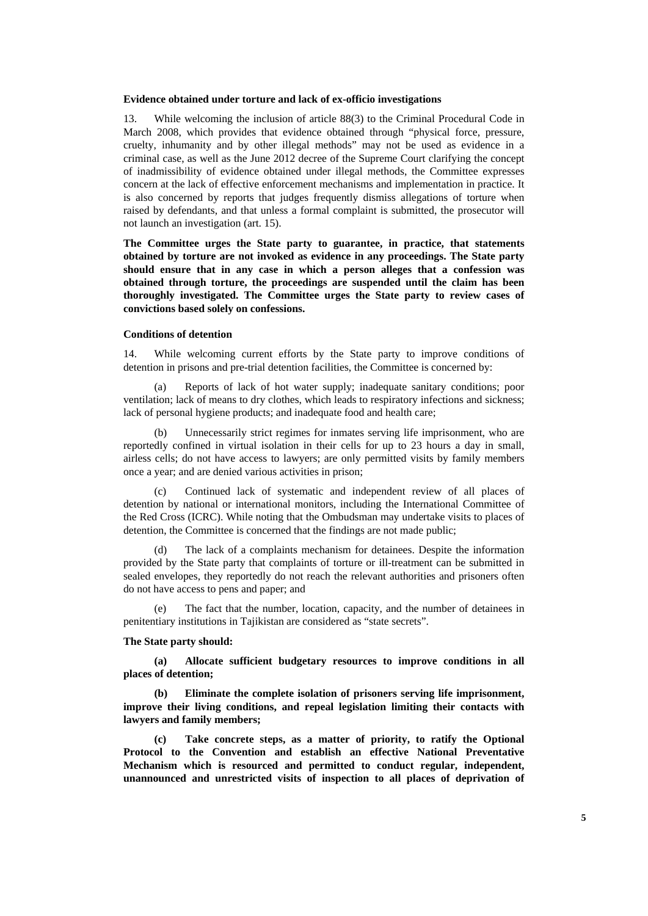#### **Evidence obtained under torture and lack of ex-officio investigations**

13. While welcoming the inclusion of article 88(3) to the Criminal Procedural Code in March 2008, which provides that evidence obtained through "physical force, pressure, cruelty, inhumanity and by other illegal methods" may not be used as evidence in a criminal case, as well as the June 2012 decree of the Supreme Court clarifying the concept of inadmissibility of evidence obtained under illegal methods, the Committee expresses concern at the lack of effective enforcement mechanisms and implementation in practice. It is also concerned by reports that judges frequently dismiss allegations of torture when raised by defendants, and that unless a formal complaint is submitted, the prosecutor will not launch an investigation (art. 15).

**The Committee urges the State party to guarantee, in practice, that statements obtained by torture are not invoked as evidence in any proceedings. The State party should ensure that in any case in which a person alleges that a confession was obtained through torture, the proceedings are suspended until the claim has been thoroughly investigated. The Committee urges the State party to review cases of convictions based solely on confessions.** 

## **Conditions of detention**

14. While welcoming current efforts by the State party to improve conditions of detention in prisons and pre-trial detention facilities, the Committee is concerned by:

Reports of lack of hot water supply; inadequate sanitary conditions; poor ventilation; lack of means to dry clothes, which leads to respiratory infections and sickness; lack of personal hygiene products; and inadequate food and health care;

Unnecessarily strict regimes for inmates serving life imprisonment, who are reportedly confined in virtual isolation in their cells for up to 23 hours a day in small, airless cells; do not have access to lawyers; are only permitted visits by family members once a year; and are denied various activities in prison;

Continued lack of systematic and independent review of all places of detention by national or international monitors, including the International Committee of the Red Cross (ICRC). While noting that the Ombudsman may undertake visits to places of detention, the Committee is concerned that the findings are not made public;

(d) The lack of a complaints mechanism for detainees. Despite the information provided by the State party that complaints of torture or ill-treatment can be submitted in sealed envelopes, they reportedly do not reach the relevant authorities and prisoners often do not have access to pens and paper; and

(e) The fact that the number, location, capacity, and the number of detainees in penitentiary institutions in Tajikistan are considered as "state secrets".

## **The State party should:**

**(a) Allocate sufficient budgetary resources to improve conditions in all places of detention;** 

**(b) Eliminate the complete isolation of prisoners serving life imprisonment, improve their living conditions, and repeal legislation limiting their contacts with lawyers and family members;** 

**(c) Take concrete steps, as a matter of priority, to ratify the Optional Protocol to the Convention and establish an effective National Preventative Mechanism which is resourced and permitted to conduct regular, independent, unannounced and unrestricted visits of inspection to all places of deprivation of**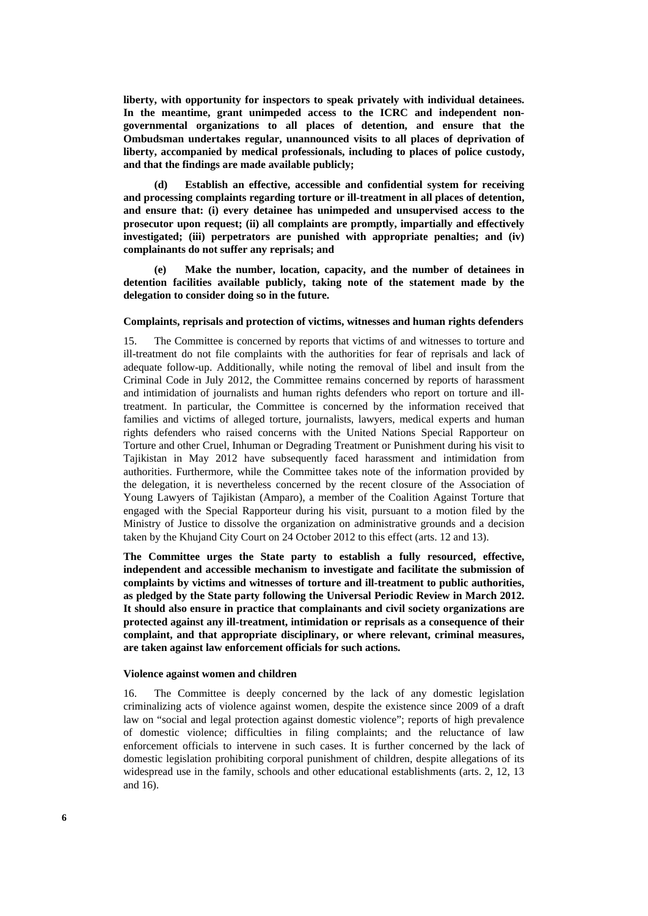**liberty, with opportunity for inspectors to speak privately with individual detainees. In the meantime, grant unimpeded access to the ICRC and independent nongovernmental organizations to all places of detention, and ensure that the Ombudsman undertakes regular, unannounced visits to all places of deprivation of liberty, accompanied by medical professionals, including to places of police custody, and that the findings are made available publicly;** 

**(d) Establish an effective, accessible and confidential system for receiving and processing complaints regarding torture or ill-treatment in all places of detention, and ensure that: (i) every detainee has unimpeded and unsupervised access to the prosecutor upon request; (ii) all complaints are promptly, impartially and effectively investigated; (iii) perpetrators are punished with appropriate penalties; and (iv) complainants do not suffer any reprisals; and** 

**(e) Make the number, location, capacity, and the number of detainees in detention facilities available publicly, taking note of the statement made by the delegation to consider doing so in the future.** 

# **Complaints, reprisals and protection of victims, witnesses and human rights defenders**

15. The Committee is concerned by reports that victims of and witnesses to torture and ill-treatment do not file complaints with the authorities for fear of reprisals and lack of adequate follow-up. Additionally, while noting the removal of libel and insult from the Criminal Code in July 2012, the Committee remains concerned by reports of harassment and intimidation of journalists and human rights defenders who report on torture and illtreatment. In particular, the Committee is concerned by the information received that families and victims of alleged torture, journalists, lawyers, medical experts and human rights defenders who raised concerns with the United Nations Special Rapporteur on Torture and other Cruel, Inhuman or Degrading Treatment or Punishment during his visit to Tajikistan in May 2012 have subsequently faced harassment and intimidation from authorities. Furthermore, while the Committee takes note of the information provided by the delegation, it is nevertheless concerned by the recent closure of the Association of Young Lawyers of Tajikistan (Amparo), a member of the Coalition Against Torture that engaged with the Special Rapporteur during his visit, pursuant to a motion filed by the Ministry of Justice to dissolve the organization on administrative grounds and a decision taken by the Khujand City Court on 24 October 2012 to this effect (arts. 12 and 13).

**The Committee urges the State party to establish a fully resourced, effective, independent and accessible mechanism to investigate and facilitate the submission of complaints by victims and witnesses of torture and ill-treatment to public authorities, as pledged by the State party following the Universal Periodic Review in March 2012. It should also ensure in practice that complainants and civil society organizations are protected against any ill-treatment, intimidation or reprisals as a consequence of their complaint, and that appropriate disciplinary, or where relevant, criminal measures, are taken against law enforcement officials for such actions.** 

## **Violence against women and children**

16. The Committee is deeply concerned by the lack of any domestic legislation criminalizing acts of violence against women, despite the existence since 2009 of a draft law on "social and legal protection against domestic violence"; reports of high prevalence of domestic violence; difficulties in filing complaints; and the reluctance of law enforcement officials to intervene in such cases. It is further concerned by the lack of domestic legislation prohibiting corporal punishment of children, despite allegations of its widespread use in the family, schools and other educational establishments (arts. 2, 12, 13 and 16).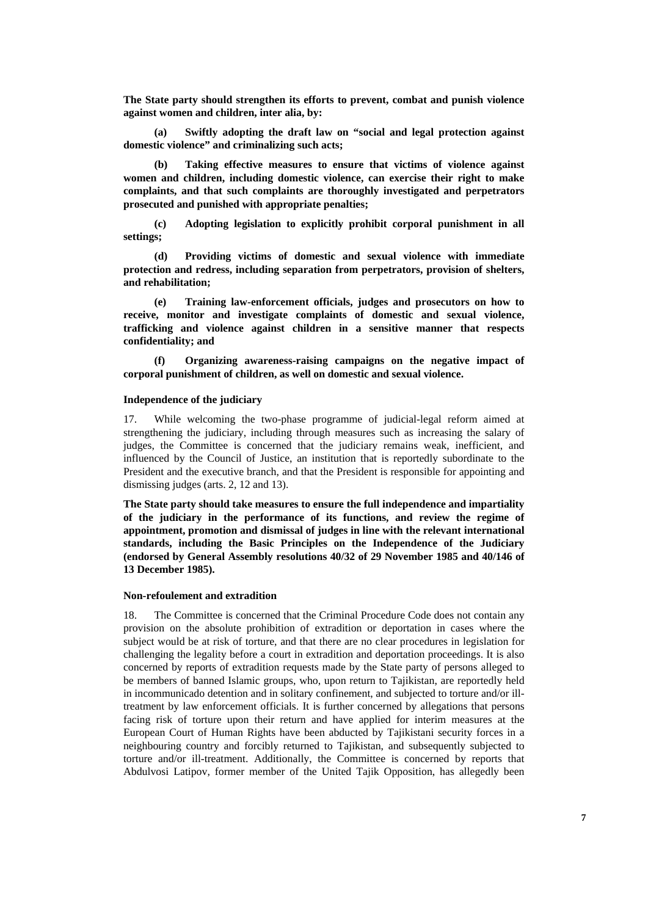**The State party should strengthen its efforts to prevent, combat and punish violence against women and children, inter alia, by:** 

**(a) Swiftly adopting the draft law on "social and legal protection against domestic violence" and criminalizing such acts;** 

**(b) Taking effective measures to ensure that victims of violence against women and children, including domestic violence, can exercise their right to make complaints, and that such complaints are thoroughly investigated and perpetrators prosecuted and punished with appropriate penalties;** 

**(c) Adopting legislation to explicitly prohibit corporal punishment in all settings;** 

**(d) Providing victims of domestic and sexual violence with immediate protection and redress, including separation from perpetrators, provision of shelters, and rehabilitation;** 

**(e) Training law-enforcement officials, judges and prosecutors on how to receive, monitor and investigate complaints of domestic and sexual violence, trafficking and violence against children in a sensitive manner that respects confidentiality; and** 

**(f) Organizing awareness-raising campaigns on the negative impact of corporal punishment of children, as well on domestic and sexual violence.** 

## **Independence of the judiciary**

17. While welcoming the two-phase programme of judicial-legal reform aimed at strengthening the judiciary, including through measures such as increasing the salary of judges, the Committee is concerned that the judiciary remains weak, inefficient, and influenced by the Council of Justice, an institution that is reportedly subordinate to the President and the executive branch, and that the President is responsible for appointing and dismissing judges (arts. 2, 12 and 13).

**The State party should take measures to ensure the full independence and impartiality of the judiciary in the performance of its functions, and review the regime of appointment, promotion and dismissal of judges in line with the relevant international standards, including the Basic Principles on the Independence of the Judiciary (endorsed by General Assembly resolutions 40/32 of 29 November 1985 and 40/146 of 13 December 1985).** 

## **Non-refoulement and extradition**

18. The Committee is concerned that the Criminal Procedure Code does not contain any provision on the absolute prohibition of extradition or deportation in cases where the subject would be at risk of torture, and that there are no clear procedures in legislation for challenging the legality before a court in extradition and deportation proceedings. It is also concerned by reports of extradition requests made by the State party of persons alleged to be members of banned Islamic groups, who, upon return to Tajikistan, are reportedly held in incommunicado detention and in solitary confinement, and subjected to torture and/or illtreatment by law enforcement officials. It is further concerned by allegations that persons facing risk of torture upon their return and have applied for interim measures at the European Court of Human Rights have been abducted by Tajikistani security forces in a neighbouring country and forcibly returned to Tajikistan, and subsequently subjected to torture and/or ill-treatment. Additionally, the Committee is concerned by reports that Abdulvosi Latipov, former member of the United Tajik Opposition, has allegedly been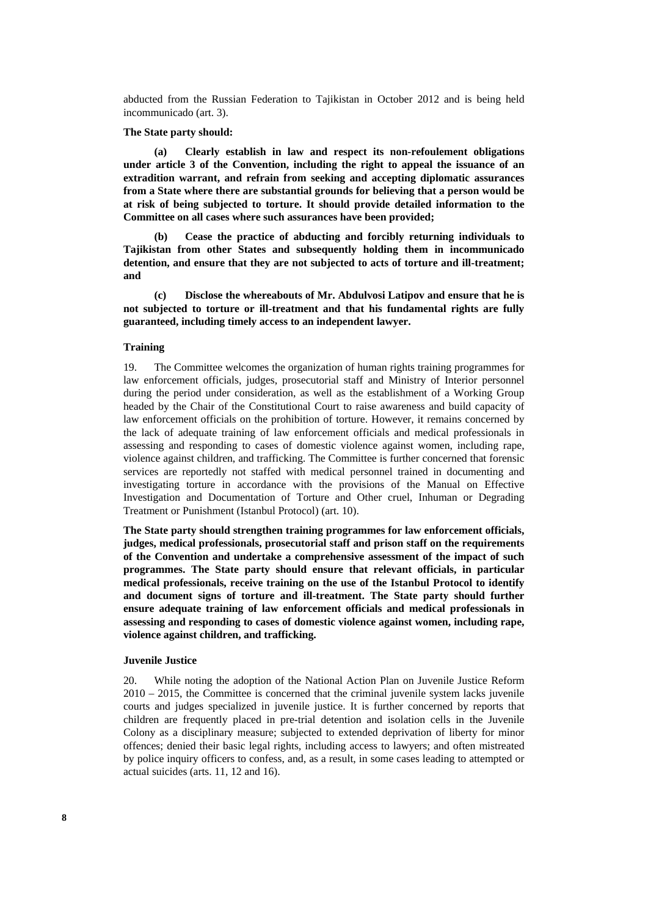abducted from the Russian Federation to Tajikistan in October 2012 and is being held incommunicado (art. 3).

#### **The State party should:**

**(a) Clearly establish in law and respect its non-refoulement obligations under article 3 of the Convention, including the right to appeal the issuance of an extradition warrant, and refrain from seeking and accepting diplomatic assurances from a State where there are substantial grounds for believing that a person would be at risk of being subjected to torture. It should provide detailed information to the Committee on all cases where such assurances have been provided;** 

**(b) Cease the practice of abducting and forcibly returning individuals to Tajikistan from other States and subsequently holding them in incommunicado detention, and ensure that they are not subjected to acts of torture and ill-treatment; and** 

**(c) Disclose the whereabouts of Mr. Abdulvosi Latipov and ensure that he is not subjected to torture or ill-treatment and that his fundamental rights are fully guaranteed, including timely access to an independent lawyer.** 

## **Training**

19. The Committee welcomes the organization of human rights training programmes for law enforcement officials, judges, prosecutorial staff and Ministry of Interior personnel during the period under consideration, as well as the establishment of a Working Group headed by the Chair of the Constitutional Court to raise awareness and build capacity of law enforcement officials on the prohibition of torture. However, it remains concerned by the lack of adequate training of law enforcement officials and medical professionals in assessing and responding to cases of domestic violence against women, including rape, violence against children, and trafficking. The Committee is further concerned that forensic services are reportedly not staffed with medical personnel trained in documenting and investigating torture in accordance with the provisions of the Manual on Effective Investigation and Documentation of Torture and Other cruel, Inhuman or Degrading Treatment or Punishment (Istanbul Protocol) (art. 10).

**The State party should strengthen training programmes for law enforcement officials, judges, medical professionals, prosecutorial staff and prison staff on the requirements of the Convention and undertake a comprehensive assessment of the impact of such programmes. The State party should ensure that relevant officials, in particular medical professionals, receive training on the use of the Istanbul Protocol to identify and document signs of torture and ill-treatment. The State party should further ensure adequate training of law enforcement officials and medical professionals in assessing and responding to cases of domestic violence against women, including rape, violence against children, and trafficking.** 

## **Juvenile Justice**

20. While noting the adoption of the National Action Plan on Juvenile Justice Reform 2010 – 2015, the Committee is concerned that the criminal juvenile system lacks juvenile courts and judges specialized in juvenile justice. It is further concerned by reports that children are frequently placed in pre-trial detention and isolation cells in the Juvenile Colony as a disciplinary measure; subjected to extended deprivation of liberty for minor offences; denied their basic legal rights, including access to lawyers; and often mistreated by police inquiry officers to confess, and, as a result, in some cases leading to attempted or actual suicides (arts. 11, 12 and 16).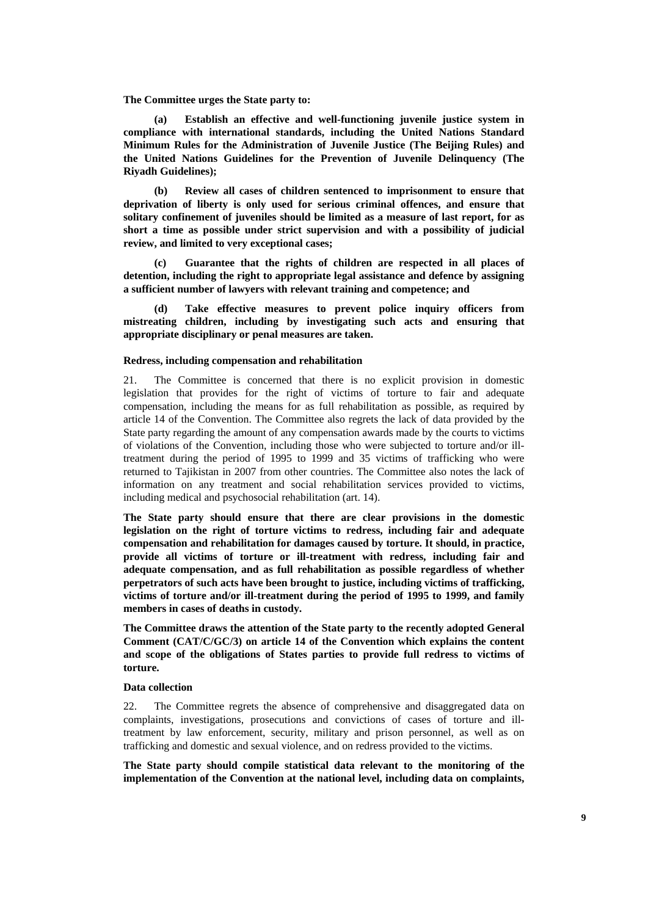## **The Committee urges the State party to:**

**(a) Establish an effective and well-functioning juvenile justice system in compliance with international standards, including the United Nations Standard Minimum Rules for the Administration of Juvenile Justice (The Beijing Rules) and the United Nations Guidelines for the Prevention of Juvenile Delinquency (The Riyadh Guidelines);** 

**(b) Review all cases of children sentenced to imprisonment to ensure that deprivation of liberty is only used for serious criminal offences, and ensure that solitary confinement of juveniles should be limited as a measure of last report, for as short a time as possible under strict supervision and with a possibility of judicial review, and limited to very exceptional cases;** 

**(c) Guarantee that the rights of children are respected in all places of detention, including the right to appropriate legal assistance and defence by assigning a sufficient number of lawyers with relevant training and competence; and** 

**(d) Take effective measures to prevent police inquiry officers from mistreating children, including by investigating such acts and ensuring that appropriate disciplinary or penal measures are taken.** 

## **Redress, including compensation and rehabilitation**

21. The Committee is concerned that there is no explicit provision in domestic legislation that provides for the right of victims of torture to fair and adequate compensation, including the means for as full rehabilitation as possible, as required by article 14 of the Convention. The Committee also regrets the lack of data provided by the State party regarding the amount of any compensation awards made by the courts to victims of violations of the Convention, including those who were subjected to torture and/or illtreatment during the period of 1995 to 1999 and 35 victims of trafficking who were returned to Tajikistan in 2007 from other countries. The Committee also notes the lack of information on any treatment and social rehabilitation services provided to victims, including medical and psychosocial rehabilitation (art. 14).

**The State party should ensure that there are clear provisions in the domestic legislation on the right of torture victims to redress, including fair and adequate compensation and rehabilitation for damages caused by torture. It should, in practice, provide all victims of torture or ill-treatment with redress, including fair and adequate compensation, and as full rehabilitation as possible regardless of whether perpetrators of such acts have been brought to justice, including victims of trafficking, victims of torture and/or ill-treatment during the period of 1995 to 1999, and family members in cases of deaths in custody.** 

**The Committee draws the attention of the State party to the recently adopted General Comment (CAT/C/GC/3) on article 14 of the Convention which explains the content and scope of the obligations of States parties to provide full redress to victims of torture.** 

## **Data collection**

22. The Committee regrets the absence of comprehensive and disaggregated data on complaints, investigations, prosecutions and convictions of cases of torture and illtreatment by law enforcement, security, military and prison personnel, as well as on trafficking and domestic and sexual violence, and on redress provided to the victims.

**The State party should compile statistical data relevant to the monitoring of the implementation of the Convention at the national level, including data on complaints,**